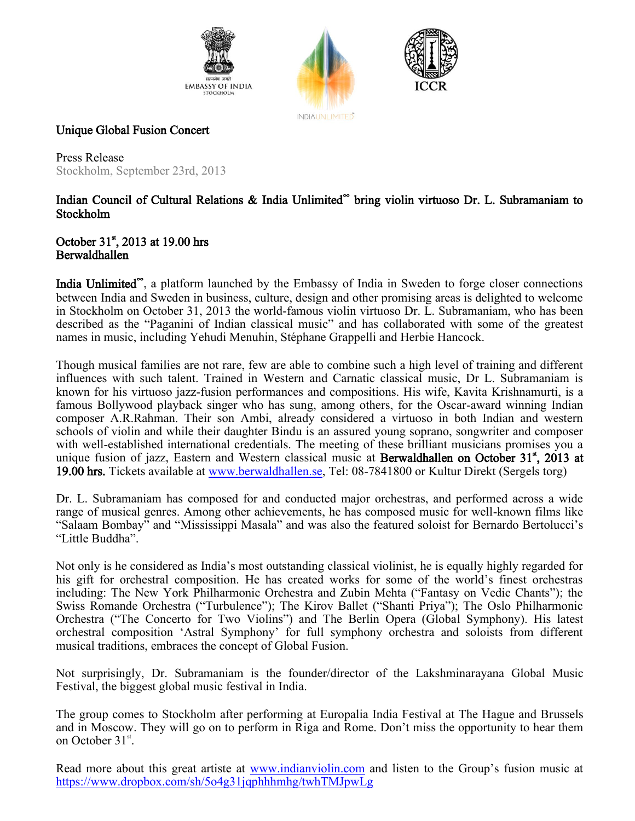





## Unique Global Fusion Concert

Press Release Stockholm, September 23rd, 2013

## Indian Council of Cultural Relations & India Unlimited**<sup>∞</sup>** bring violin virtuoso Dr. L. Subramaniam to Stockholm

## October  $31^{\text{st}}$ , 2013 at 19.00 hrs Berwaldhallen

India Unlimited<sup>®</sup>, a platform launched by the Embassy of India in Sweden to forge closer connections between India and Sweden in business, culture, design and other promising areas is delighted to welcome in Stockholm on October 31, 2013 the world-famous violin virtuoso Dr. L. Subramaniam, who has been described as the "Paganini of Indian classical music" and has collaborated with some of the greatest names in music, including Yehudi Menuhin, Stéphane Grappelli and Herbie Hancock.

Though musical families are not rare, few are able to combine such a high level of training and different influences with such talent. Trained in Western and Carnatic classical music, Dr L. Subramaniam is known for his virtuoso jazz-fusion performances and compositions. His wife, Kavita Krishnamurti, is a famous Bollywood playback singer who has sung, among others, for the Oscar-award winning Indian composer A.R.Rahman. Their son Ambi, already considered a virtuoso in both Indian and western schools of violin and while their daughter Bindu is an assured young soprano, songwriter and composer with well-established international credentials. The meeting of these brilliant musicians promises you a unique fusion of jazz, Eastern and Western classical music at **Berwaldhallen on October 31<sup>st</sup>**, 2013 at 19.00 hrs. Tickets available at [www.berwaldhallen.se,](http://www.berwaldhallen.se/) Tel: 08-7841800 or Kultur Direkt (Sergels torg)

Dr. L. Subramaniam has composed for and conducted major orchestras, and performed across a wide range of musical genres. Among other achievements, he has composed music for well-known films like "Salaam Bombay" and "Mississippi Masala" and was also the featured soloist for Bernardo Bertolucci's "Little Buddha".

Not only is he considered as India's most outstanding classical violinist, he is equally highly regarded for his gift for orchestral composition. He has created works for some of the world's finest orchestras including: The New York Philharmonic Orchestra and Zubin Mehta ("Fantasy on Vedic Chants"); the Swiss Romande Orchestra ("Turbulence"); The Kirov Ballet ("Shanti Priya"); The Oslo Philharmonic Orchestra ("The Concerto for Two Violins") and The Berlin Opera (Global Symphony). His latest orchestral composition 'Astral Symphony' for full symphony orchestra and soloists from different musical traditions, embraces the concept of Global Fusion.

Not surprisingly, Dr. Subramaniam is the founder/director of the Lakshminarayana Global Music Festival, the biggest global music festival in India.

The group comes to Stockholm after performing at Europalia India Festival at The Hague and Brussels and in Moscow. They will go on to perform in Riga and Rome. Don't miss the opportunity to hear them on October 31<sup>st</sup>.

Read more about this great artiste at [www.indianviolin.com](http://www.indianviolin.com/) and listen to the Group's fusion music at <https://www.dropbox.com/sh/5o4g31jqphhhmhg/twhTMJpwLg>